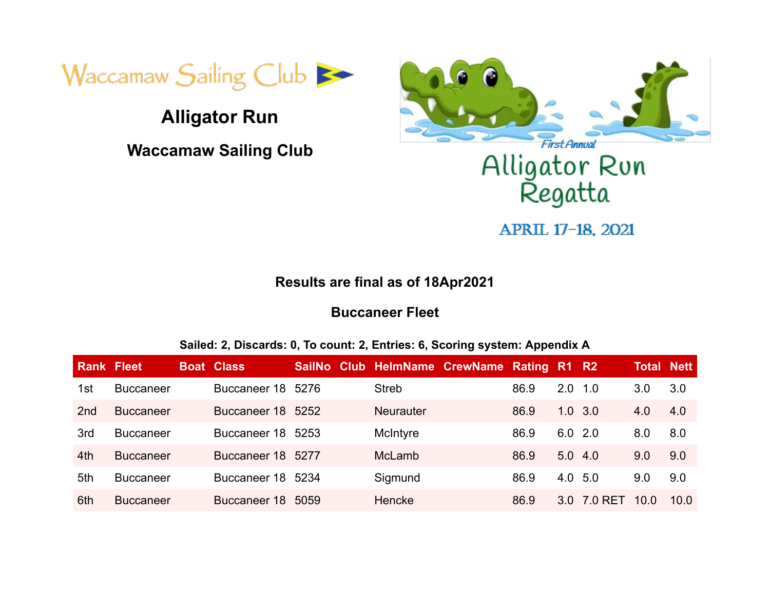

# **Alligator Run**

**Waccamaw Sailing Club**



# Alligator Run<br>Regatta

APRIL 17-18, 2021

#### **Results are final as of 18Apr2021**

#### **Buccaneer Fleet**

#### **Sailed: 2, Discards: 0, To count: 2, Entries: 6, Scoring system: Appendix A**

| <b>Rank Fleet</b> |                  | <b>Boat Class</b> |      |                  | SailNo Club HelmName CrewName Rating R1 R2 |      |                  |         | <b>Total Nett</b> |      |
|-------------------|------------------|-------------------|------|------------------|--------------------------------------------|------|------------------|---------|-------------------|------|
| 1st               | <b>Buccaneer</b> | Buccaneer 18 5276 |      | <b>Streb</b>     |                                            | 86.9 | 2.0              | $-1.0$  | 3.0               | 3.0  |
| 2 <sub>nd</sub>   | <b>Buccaneer</b> | Buccaneer 18 5252 |      | <b>Neurauter</b> |                                            | 86.9 | $1.0 \t3.0$      |         | 4.0               | 4.0  |
| 3rd               | <b>Buccaneer</b> | Buccaneer 18 5253 |      | McIntyre         |                                            | 86.9 | $6.0$ 2.0        |         | 8.0               | 8.0  |
| 4th               | <b>Buccaneer</b> | Buccaneer 18 5277 |      | <b>McLamb</b>    |                                            | 86.9 | 5.0              | 4.0     | 9.0               | 9.0  |
| 5th               | <b>Buccaneer</b> | Buccaneer 18 5234 |      | Sigmund          |                                            | 86.9 | 4.0 5.0          |         | 9.0               | 9.0  |
| 6th               | <b>Buccaneer</b> | Buccaneer 18      | 5059 | Hencke           |                                            | 86.9 | 3.0 <sub>1</sub> | 7.0 RET | 10.0              | 10.0 |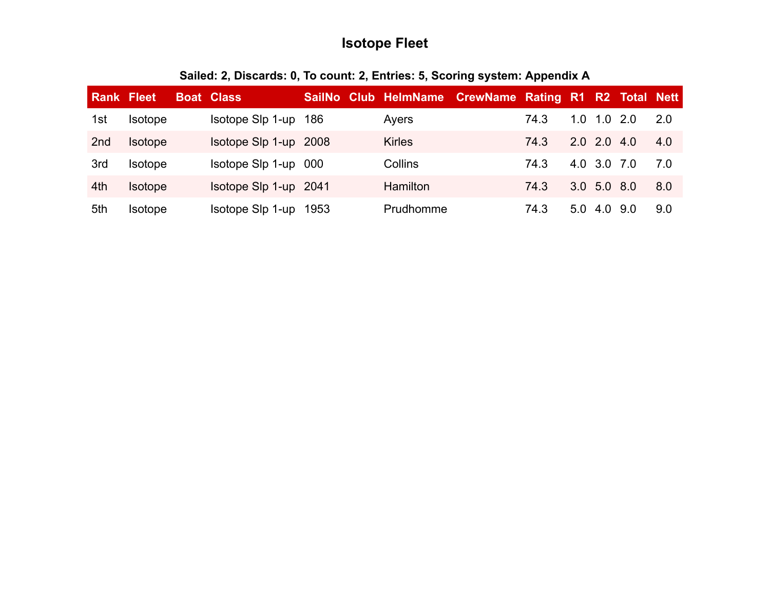# **Isotope Fleet**

| <b>Rank Fleet</b> |                | <b>Boat Class</b>     |  | SailNo Club HelmName CrewName Rating R1 R2 Total Nett |      |     |               |     |     |
|-------------------|----------------|-----------------------|--|-------------------------------------------------------|------|-----|---------------|-----|-----|
| 1st               | <b>Isotope</b> | Isotope Slp 1-up 186  |  | Ayers                                                 | 74.3 | 1.0 | $1.0\,2.0$    |     | 2.0 |
| 2 <sub>nd</sub>   | <b>Isotope</b> | Isotope Slp 1-up 2008 |  | <b>Kirles</b>                                         | 74.3 |     | $2.0$ 2.0 4.0 |     | 4.0 |
| 3rd               | <b>Isotope</b> | Isotope Slp 1-up 000  |  | Collins                                               | 74.3 |     | 4.0 3.0 7.0   |     | 7.0 |
| 4th               | <b>Isotope</b> | Isotope Slp 1-up 2041 |  | <b>Hamilton</b>                                       | 74.3 |     | 3.0 5.0 8.0   |     | 8.0 |
| 5th               | <b>Isotope</b> | Isotope Slp 1-up 1953 |  | Prudhomme                                             | 74.3 | 5.0 | 4.0           | 9.0 | 9.0 |

#### **Sailed: 2, Discards: 0, To count: 2, Entries: 5, Scoring system: Appendix A**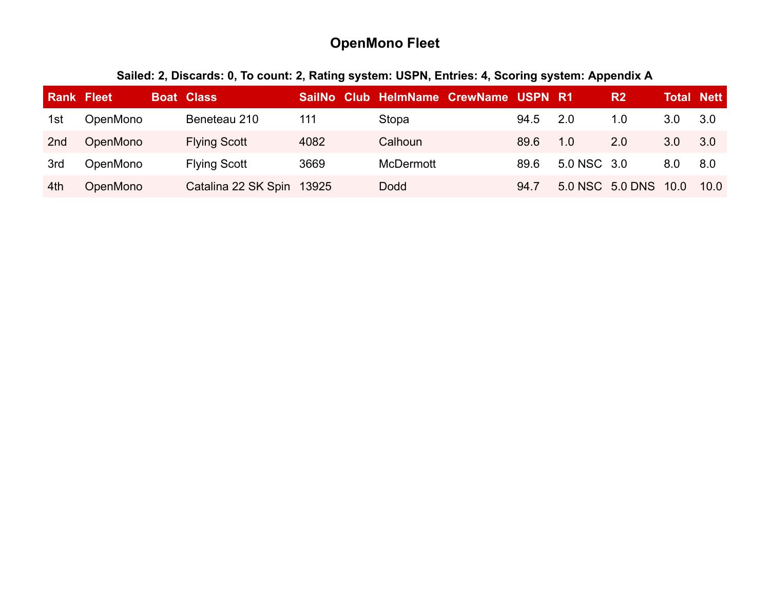# **OpenMono Fleet**

# **Sailed: 2, Discards: 0, To count: 2, Rating system: USPN, Entries: 4, Scoring system: Appendix A**

| <b>Rank Fleet</b> |          | <b>Boat Class</b>         |      |                  | SailNo Club HelmName CrewName USPN R1 |      |             | R <sub>2</sub>  | <b>Total Nett</b> |      |
|-------------------|----------|---------------------------|------|------------------|---------------------------------------|------|-------------|-----------------|-------------------|------|
| 1st               | OpenMono | Beneteau 210              | 111  | Stopa            |                                       | 94.5 | 2.0         | 1.0             | 3.0               | 3.0  |
| 2 <sub>nd</sub>   | OpenMono | <b>Flying Scott</b>       | 4082 | Calhoun          |                                       | 89.6 | 1.0         | 2.0             | 3.0               | 3.0  |
| 3rd               | OpenMono | <b>Flying Scott</b>       | 3669 | <b>McDermott</b> |                                       | 89.6 | 5.0 NSC 3.0 |                 | 8.0               | 8.0  |
| 4th               | OpenMono | Catalina 22 SK Spin 13925 |      | <b>Dodd</b>      |                                       | 94.7 |             | 5.0 NSC 5.0 DNS | 10.0              | 10.0 |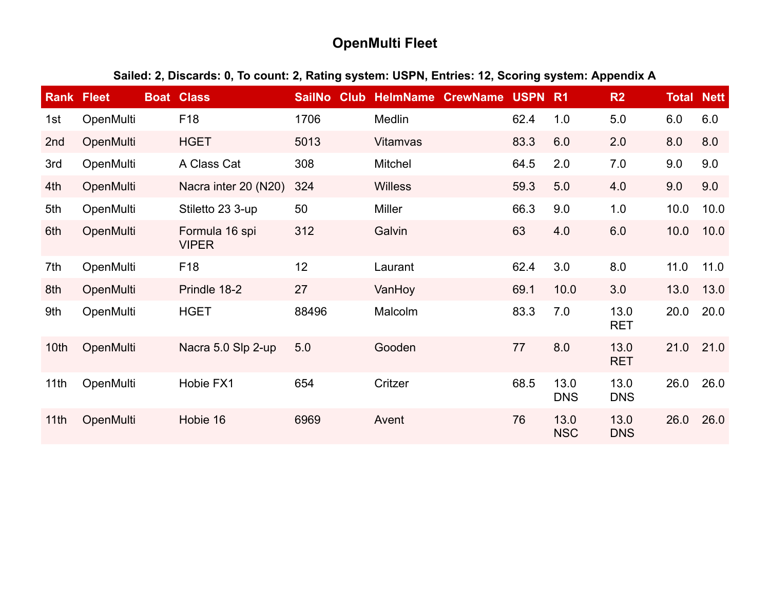# **OpenMulti Fleet**

#### **Sailed: 2, Discards: 0, To count: 2, Rating system: USPN, Entries: 12, Scoring system: Appendix A**

| <b>Rank</b>      | <b>Fleet</b>     | <b>Boat Class</b>              | <b>SailNo</b><br><b>Club</b> | <b>HelmName</b> | <b>CrewName</b> | <b>USPN</b> | <b>R1</b>          | R <sub>2</sub>     | <b>Total Nett</b> |      |
|------------------|------------------|--------------------------------|------------------------------|-----------------|-----------------|-------------|--------------------|--------------------|-------------------|------|
| 1st              | OpenMulti        | F <sub>18</sub>                | 1706                         | Medlin          |                 | 62.4        | 1.0                | 5.0                | 6.0               | 6.0  |
| 2 <sub>nd</sub>  | OpenMulti        | <b>HGET</b>                    | 5013                         | <b>Vitamvas</b> |                 | 83.3        | 6.0                | 2.0                | 8.0               | 8.0  |
| 3rd              | OpenMulti        | A Class Cat                    | 308                          | <b>Mitchel</b>  |                 | 64.5        | 2.0                | 7.0                | 9.0               | 9.0  |
| 4th              | OpenMulti        | Nacra inter 20 (N20)           | 324                          | <b>Willess</b>  |                 | 59.3        | 5.0                | 4.0                | 9.0               | 9.0  |
| 5th              | OpenMulti        | Stiletto 23 3-up               | 50                           | Miller          |                 | 66.3        | 9.0                | 1.0                | 10.0              | 10.0 |
| 6th              | OpenMulti        | Formula 16 spi<br><b>VIPER</b> | 312                          | Galvin          |                 | 63          | 4.0                | 6.0                | 10.0              | 10.0 |
| 7th              | OpenMulti        | F <sub>18</sub>                | 12                           | Laurant         |                 | 62.4        | 3.0                | 8.0                | 11.0              | 11.0 |
| 8th              | OpenMulti        | Prindle 18-2                   | 27                           | VanHoy          |                 | 69.1        | 10.0               | 3.0                | 13.0              | 13.0 |
| 9th              | OpenMulti        | <b>HGET</b>                    | 88496                        | Malcolm         |                 | 83.3        | 7.0                | 13.0<br><b>RET</b> | 20.0              | 20.0 |
| 10th             | OpenMulti        | Nacra 5.0 Slp 2-up             | 5.0                          | Gooden          |                 | 77          | 8.0                | 13.0<br><b>RET</b> | 21.0              | 21.0 |
| 11th             | OpenMulti        | Hobie FX1                      | 654                          | Critzer         |                 | 68.5        | 13.0<br><b>DNS</b> | 13.0<br><b>DNS</b> | 26.0              | 26.0 |
| 11 <sub>th</sub> | <b>OpenMulti</b> | Hobie 16                       | 6969                         | Avent           |                 | 76          | 13.0<br><b>NSC</b> | 13.0<br><b>DNS</b> | 26.0              | 26.0 |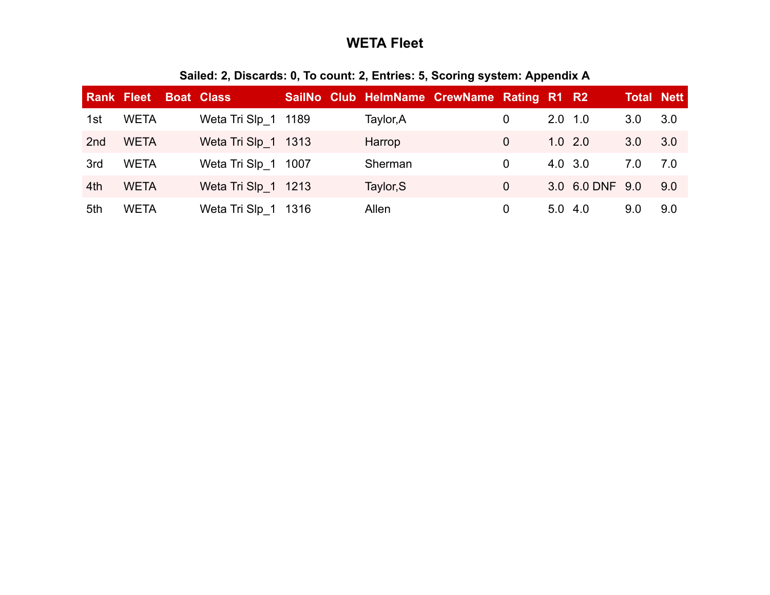# **WETA Fleet**

|                 | <b>Rank Fleet</b> | <b>Boat Class</b>   |  | SailNo Club HelmName CrewName Rating R1 R2 |                |              |                 | <b>Total Nett</b> |     |
|-----------------|-------------------|---------------------|--|--------------------------------------------|----------------|--------------|-----------------|-------------------|-----|
| 1st             | <b>WETA</b>       | Weta Tri Slp 1 1189 |  | Taylor, A                                  | 0              | $2.0$ 1.0    |                 | 3.0               | 3.0 |
| 2 <sub>nd</sub> | <b>WETA</b>       | Weta Tri Slp 1 1313 |  | Harrop                                     | 0              |              | $1.0$ 2.0       | 3.0               | 3.0 |
| 3rd             | <b>WETA</b>       | Weta Tri Slp 1 1007 |  | Sherman                                    | $\overline{0}$ | 4.0 3.0      |                 | 7.0               | 7.0 |
| 4th             | <b>WETA</b>       | Weta Tri Slp 1 1213 |  | Taylor, S                                  | 0              |              | 3.0 6.0 DNF 9.0 |                   | 9.0 |
| 5th             | <b>WETA</b>       | Weta Tri Slp 1 1316 |  | Allen                                      | 0              | $5.0 \; 4.0$ |                 | 9.0               | 9.0 |

#### **Sailed: 2, Discards: 0, To count: 2, Entries: 5, Scoring system: Appendix A**